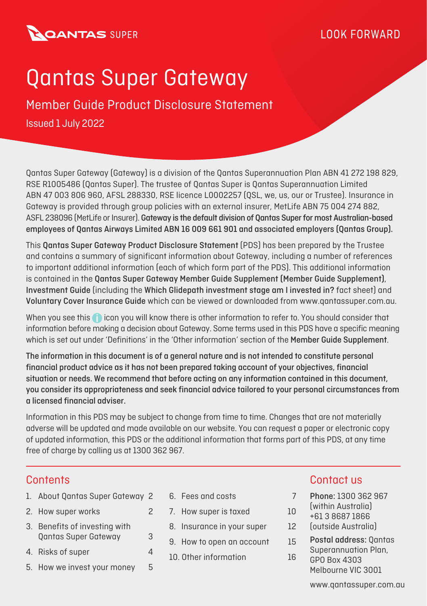### **BOANTAS SUPER**

### **IOOK FORWARD**

# Qantas Super Gateway

Issued 1 July 2022 Member Guide Product Disclosure Statement

Qantas Super Gateway (Gateway) is a division of the Qantas Superannuation Plan ABN 41 272 198 829, RSE R1005486 (Qantas Super). The trustee of Qantas Super is Qantas Superannuation Limited ABN 47 003 806 960, AFSL 288330, RSE licence L0002257 (QSL, we, us, our or Trustee). Insurance in Gateway is provided through group policies with an external insurer, MetLife ABN 75 004 274 882, ASFL 238096 (MetLife or Insurer). Gateway is the default division of Qantas Super for most Australian-based employees of Qantas Airways Limited ABN 16 009 661 901 and associated employers (Qantas Group).

This Qantas Super Gateway Product Disclosure Statement (PDS) has been prepared by the Trustee and contains a summary of significant information about Gateway, including a number of references to important additional information (each of which form part of the PDS). This additional information is contained in the Qantas Super Gateway Member Guide Supplement (Member Guide Supplement), Investment Guide (including the Which Glidepath investment stage am I invested in? fact sheet) and Voluntary Cover Insurance Guide which can be viewed or downloaded from www.qantassuper.com.au.

When you see this **in** icon you will know there is other information to refer to. You should consider that information before making a decision about Gateway. Some terms used in this PDS have a specific meaning which is set out under 'Definitions' in the 'Other information' section of the Member Guide Supplement.

The information in this document is of a general nature and is not intended to constitute personal financial product advice as it has not been prepared taking account of your objectives, financial situation or needs. We recommend that before acting on any information contained in this document, you consider its appropriateness and seek financial advice tailored to your personal circumstances from a licensed financial adviser.

Information in this PDS may be subject to change from time to time. Changes that are not materially adverse will be updated and made available on our website. You can request a paper or electronic copy of updated information, this PDS or the additional information that forms part of this PDS, at any time free of charge by calling us at 1300 362 967.

- 1. About Qantas Super Gateway 2
- 2. How super works 2
- 3. Benefits of investing with Qantas Super Gateway 3
- 4. Risks of super 4
- 5. How we invest your money 5
- 6. Fees and costs 7
- 7. How super is taxed 10
- 8. Insurance in your super 12
- 9. How to open an account 15
- 10. Other information 16

#### **Contents** Contact us and Contact us and Contact us and Contact us and Contact us and Contact us and Contact us and Contact us and Contact us and Contact us and Contact us and Contact us and Contact us and Contact us and C

- Phone: 1300 362 967
- (within Australia)
- +61 3 8687 1866
- (outside Australia)
- Postal address: Qantas Superannuation Plan,
- GPO Box 4303 Melbourne VIC 3001

www.qantassuper.com.au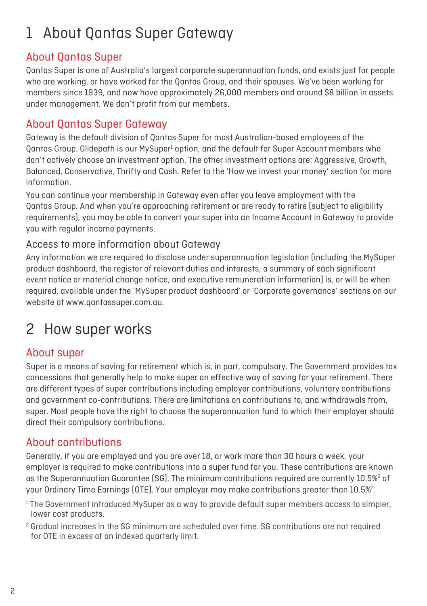### 1 About Qantas Super Gateway

#### About Qantas Super

Qantas Super is one of Australia's largest corporate superannuation funds, and exists just for people who are working, or have worked for the Qantas Group, and their spouses. We've been working for members since 1939, and now have approximately 26,000 members and around \$8 billion in assets under management. We don't profit from our members.

#### About Qantas Super Gateway

Gateway is the default division of Qantas Super for most Australian-based employees of the Qantas Group. Glidepath is our MySuper<sup>1</sup> option, and the default for Super Account members who don't actively choose an investment option. The other investment options are: Aggressive, Growth, Balanced, Conservative, Thrifty and Cash. Refer to the 'How we invest your money' section for more information.

You can continue your membership in Gateway even after you leave employment with the Qantas Group. And when you're approaching retirement or are ready to retire (subject to eligibility requirements), you may be able to convert your super into an Income Account in Gateway to provide you with regular income payments.

#### Access to more information about Gateway

Any information we are required to disclose under superannuation legislation (including the MySuper product dashboard, the register of relevant duties and interests, a summary of each significant event notice or material change notice, and executive remuneration information) is, or will be when required, available under the 'MySuper product dashboard' or 'Corporate governance' sections on our website at www.qantassuper.com.au.

### 2 How super works

#### About super

Super is a means of saving for retirement which is, in part, compulsory. The Government provides tax concessions that generally help to make super an effective way of saving for your retirement. There are different types of super contributions including employer contributions, voluntary contributions and government co-contributions. There are limitations on contributions to, and withdrawals from, super. Most people have the right to choose the superannuation fund to which their employer should direct their compulsory contributions.

#### About contributions

Generally, if you are employed and you are over 18, or work more than 30 hours a week, your employer is required to make contributions into a super fund for you. These contributions are known as the Superannuation Guarantee (SG). The minimum contributions required are currently  $10.5\%^2$  of your Ordinary Time Earnings (OTE). Your employer may make contributions greater than  $10.5\%^2$ .

 $1$  The Government introduced MySuper as a way to provide default super members access to simpler, lower cost products.

<sup>2</sup> Gradual increases in the SG minimum are scheduled over time. SG contributions are not required for OTE in excess of an indexed quarterly limit.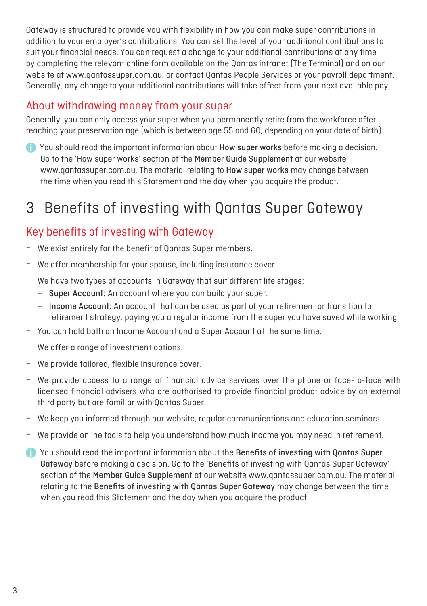Gateway is structured to provide you with flexibility in how you can make super contributions in addition to your employer's contributions. You can set the level of your additional contributions to suit your financial needs. You can request a change to your additional contributions at any time by completing the relevant online form available on the Qantas intranet (The Terminal) and on our website at www.qantassuper.com.au, or contact Qantas People Services or your payroll department. Generally, any change to your additional contributions will take effect from your next available pay.

#### About withdrawing money from your super

Generally, you can only access your super when you permanently retire from the workforce after reaching your preservation age (which is between age 55 and 60, depending on your date of birth).

 You should read the important information about How super works before making a decision. Go to the 'How super works' section of the Member Guide Supplement at our website www.qantassuper.com.au. The material relating to How super works may change between the time when you read this Statement and the day when you acquire the product.

### 3 Benefits of investing with Qantas Super Gateway

#### Key benefits of investing with Gateway

- We exist entirely for the benefit of Qantas Super members.
- We offer membership for your spouse, including insurance cover.
- We have two types of accounts in Gateway that suit different life stages:
	- Super Account: An account where you can build your super.
	- Income Account: An account that can be used as part of your retirement or transition to retirement strategy, paying you a regular income from the super you have saved while working.
- You can hold both an Income Account and a Super Account at the same time.
- We offer a range of investment options.
- We provide tailored, flexible insurance cover.
- We provide access to a range of financial advice services over the phone or face-to-face with licensed financial advisers who are authorised to provide financial product advice by an external third party but are familiar with Qantas Super.
- We keep you informed through our website, regular communications and education seminars.
- We provide online tools to help you understand how much income you may need in retirement.
- You should read the important information about the Benefits of investing with Qantas Super Gateway before making a decision. Go to the 'Benefits of investing with Qantas Super Gateway' section of the Member Guide Supplement at our website www.qantassuper.com.au. The material relating to the Benefits of investing with Qantas Super Gateway may change between the time when you read this Statement and the day when you acquire the product.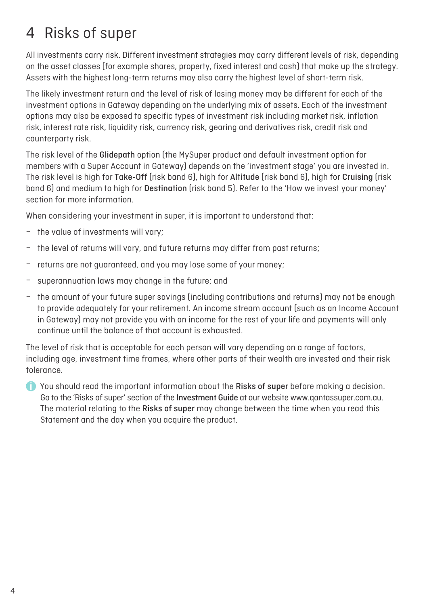### 4 Risks of super

All investments carry risk. Different investment strategies may carry different levels of risk, depending on the asset classes (for example shares, property, fixed interest and cash) that make up the strategy. Assets with the highest long-term returns may also carry the highest level of short-term risk.

The likely investment return and the level of risk of losing money may be different for each of the investment options in Gateway depending on the underlying mix of assets. Each of the investment options may also be exposed to specific types of investment risk including market risk, inflation risk, interest rate risk, liquidity risk, currency risk, gearing and derivatives risk, credit risk and counterparty risk.

The risk level of the Glidepath option (the MySuper product and default investment option for members with a Super Account in Gateway) depends on the 'investment stage' you are invested in. The risk level is high for Take-Off (risk band 6), high for Altitude (risk band 6), high for Cruising (risk band 6) and medium to high for Destination (risk band 5). Refer to the 'How we invest your money' section for more information.

When considering your investment in super, it is important to understand that:

- the value of investments will vary;
- the level of returns will vary, and future returns may differ from past returns;
- returns are not guaranteed, and you may lose some of your money;
- superannuation laws may change in the future; and
- the amount of your future super savings (including contributions and returns) may not be enough to provide adequately for your retirement. An income stream account (such as an Income Account in Gateway) may not provide you with an income for the rest of your life and payments will only continue until the balance of that account is exhausted.

The level of risk that is acceptable for each person will vary depending on a range of factors, including age, investment time frames, where other parts of their wealth are invested and their risk tolerance.

To You should read the important information about the Risks of super before making a decision. Go to the 'Risks of super' section of the Investment Guide at our website www.qantassuper.com.au. The material relating to the Risks of super may change between the time when you read this Statement and the day when you acquire the product.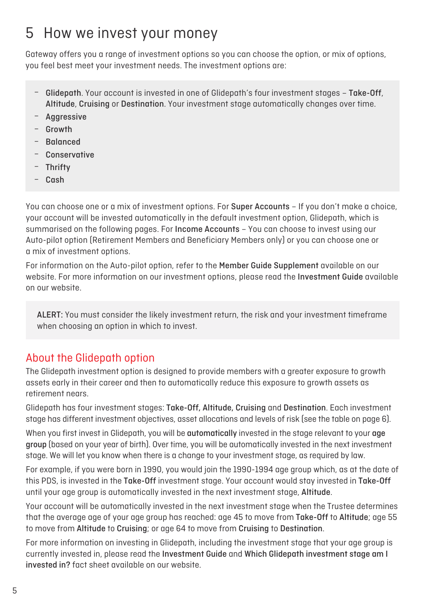### 5 How we invest your money

Gateway offers you a range of investment options so you can choose the option, or mix of options, you feel best meet your investment needs. The investment options are:

- Glidepath. Your account is invested in one of Glidepath's four investment stages Take-Off, Altitude, Cruising or Destination. Your investment stage automatically changes over time.
- Aggressive
- Growth
- Balanced
- **Conservative**
- **Thrifty**
- Cash

You can choose one or a mix of investment options. For Super Accounts – If you don't make a choice, your account will be invested automatically in the default investment option, Glidepath, which is summarised on the following pages. For Income Accounts – You can choose to invest using our Auto-pilot option (Retirement Members and Beneficiary Members only) or you can choose one or a mix of investment options.

For information on the Auto-pilot option, refer to the Member Guide Supplement available on our website. For more information on our investment options, please read the Investment Guide available on our website.

ALERT: You must consider the likely investment return, the risk and your investment timeframe when choosing an option in which to invest.

#### About the Glidepath option

The Glidepath investment option is designed to provide members with a greater exposure to growth assets early in their career and then to automatically reduce this exposure to growth assets as retirement nears.

Glidepath has four investment stages: Take-Off, Altitude, Cruising and Destination. Each investment stage has different investment objectives, asset allocations and levels of risk (see the table on page 6).

When you first invest in Glidepath, you will be automatically invested in the stage relevant to your age group (based on your year of birth). Over time, you will be automatically invested in the next investment stage. We will let you know when there is a change to your investment stage, as required by law.

For example, if you were born in 1990, you would join the 1990-1994 age group which, as at the date of this PDS, is invested in the Take-Off investment stage. Your account would stay invested in Take-Off until your age group is automatically invested in the next investment stage, Altitude.

Your account will be automatically invested in the next investment stage when the Trustee determines that the average age of your age group has reached: age 45 to move from Take-Off to Altitude; age 55 to move from Altitude to Cruising; or age 64 to move from Cruising to Destination.

For more information on investing in Glidepath, including the investment stage that your age group is currently invested in, please read the Investment Guide and Which Glidepath investment stage am I invested in? fact sheet available on our website.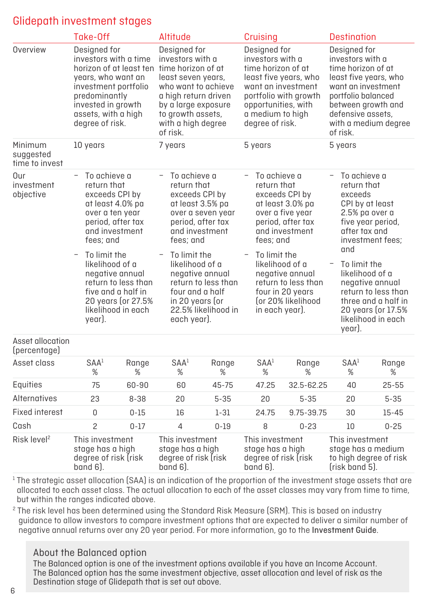#### Glidepath investment stages

|                                        | Take-Off                                                                                                                                                                                                                                                                                                                      |                                                                                                                                          | Altitude                                                                                                                                                                                                                                                                                            |            | Cruising                                                                                                                                                                                                                                                                           |                       | <b>Destination</b>                                                                                                                                                                                                                                                                                     |  |                       |            |
|----------------------------------------|-------------------------------------------------------------------------------------------------------------------------------------------------------------------------------------------------------------------------------------------------------------------------------------------------------------------------------|------------------------------------------------------------------------------------------------------------------------------------------|-----------------------------------------------------------------------------------------------------------------------------------------------------------------------------------------------------------------------------------------------------------------------------------------------------|------------|------------------------------------------------------------------------------------------------------------------------------------------------------------------------------------------------------------------------------------------------------------------------------------|-----------------------|--------------------------------------------------------------------------------------------------------------------------------------------------------------------------------------------------------------------------------------------------------------------------------------------------------|--|-----------------------|------------|
| Overview                               | Designed for<br>investors with a time<br>horizon of at least ten time horizon of at<br>years, who want an<br>investment portfolio<br>predominantly<br>invested in growth<br>assets, with a high<br>degree of risk.                                                                                                            |                                                                                                                                          | Designed for<br>investors with a<br>least seven years,<br>who want to achieve<br>a high return driven<br>by a large exposure<br>to growth assets,<br>with a high degree<br>of risk.                                                                                                                 |            | Designed for<br>investors with a<br>time horizon of at<br>least five years, who<br>want an investment<br>portfolio with growth<br>opportunities, with<br>a medium to high<br>degree of risk.                                                                                       |                       | Designed for<br>investors with a<br>time horizon of at<br>least five years, who<br>want an investment<br>portfolio balanced<br>between growth and<br>defensive assets,<br>with a medium degree<br>of risk.                                                                                             |  |                       |            |
| Minimum<br>suggested<br>time to invest | 10 years                                                                                                                                                                                                                                                                                                                      |                                                                                                                                          | 7 years                                                                                                                                                                                                                                                                                             |            | 5 years                                                                                                                                                                                                                                                                            |                       | 5 years                                                                                                                                                                                                                                                                                                |  |                       |            |
| Our<br>investment<br>objective         | $\overline{\phantom{0}}$<br>To achieve a<br>return that<br>exceeds CPI by<br>at least 4.0% pa<br>over a ten year<br>period, after tax<br>and investment<br>fees: and<br>To limit the<br>likelihood of a<br>negative annual<br>return to less than<br>five and a half in<br>20 years (or 27.5%<br>likelihood in each<br>year). |                                                                                                                                          | To achieve a<br>return that<br>exceeds CPI by<br>at least 3.5% pa<br>over a seven year<br>period, after tax<br>and investment<br>fees: and<br>To limit the<br>likelihood of a<br>negative annual<br>return to less than<br>four and a half<br>in 20 years (or<br>22.5% likelihood in<br>each year). |            | To achieve a<br>return that<br>exceeds CPI by<br>at least 3.0% pa<br>over a five year<br>period, after tax<br>and investment<br>fees; and<br>To limit the<br>likelihood of a<br>negative annual<br>return to less than<br>four in 20 years<br>for 20% likelihood<br>in each year). |                       | To achieve a<br>return that<br>exceeds<br>CPI by at least<br>2.5% pa over a<br>five year period,<br>after tax and<br>investment fees:<br>and<br>To limit the<br>likelihood of a<br>negative annual<br>return to less than<br>three and a half in<br>20 years (or 17.5%<br>likelihood in each<br>year). |  |                       |            |
| Asset allocation<br>(percentage)       |                                                                                                                                                                                                                                                                                                                               |                                                                                                                                          |                                                                                                                                                                                                                                                                                                     |            |                                                                                                                                                                                                                                                                                    |                       |                                                                                                                                                                                                                                                                                                        |  |                       |            |
| Asset class                            | SAA <sup>1</sup><br>%                                                                                                                                                                                                                                                                                                         | Range<br>%                                                                                                                               | SAA <sup>1</sup><br>%                                                                                                                                                                                                                                                                               | Range<br>% |                                                                                                                                                                                                                                                                                    | SAA <sup>1</sup><br>% | Range<br>%                                                                                                                                                                                                                                                                                             |  | SAA <sup>1</sup><br>% | Range<br>% |
| Equities                               | 75                                                                                                                                                                                                                                                                                                                            | 60-90                                                                                                                                    | 60                                                                                                                                                                                                                                                                                                  | 45-75      |                                                                                                                                                                                                                                                                                    | 47.25                 | 32.5-62.25                                                                                                                                                                                                                                                                                             |  | 40                    | $25 - 55$  |
| Alternatives                           | 23                                                                                                                                                                                                                                                                                                                            | $8 - 38$                                                                                                                                 | 20                                                                                                                                                                                                                                                                                                  | $5 - 35$   |                                                                                                                                                                                                                                                                                    | 20                    | $5 - 35$                                                                                                                                                                                                                                                                                               |  | 20                    | $5 - 35$   |
| <b>Fixed interest</b>                  | 0                                                                                                                                                                                                                                                                                                                             | $0 - 15$                                                                                                                                 | 16                                                                                                                                                                                                                                                                                                  | $1 - 31$   |                                                                                                                                                                                                                                                                                    | 24.75                 | 9.75-39.75                                                                                                                                                                                                                                                                                             |  | 30                    | 15-45      |
| Cash                                   | $\overline{c}$                                                                                                                                                                                                                                                                                                                | $0 - 17$                                                                                                                                 | 4                                                                                                                                                                                                                                                                                                   | $0 - 19$   |                                                                                                                                                                                                                                                                                    | 8                     | $0 - 23$                                                                                                                                                                                                                                                                                               |  | 10                    | $0 - 25$   |
| Risk level <sup>2</sup>                | $band 6$ .                                                                                                                                                                                                                                                                                                                    | This investment<br>This investment<br>stage has a high<br>stage has a high<br>degree of risk (risk<br>degree of risk (risk<br>$band 6$ . |                                                                                                                                                                                                                                                                                                     |            | This investment<br>stage has a high<br>degree of risk (risk<br>band 6).                                                                                                                                                                                                            |                       | This investment<br>stage has a medium<br>to high degree of risk<br>(risk band 5).                                                                                                                                                                                                                      |  |                       |            |

 $1$ The strategic asset allocation (SAA) is an indication of the proportion of the investment stage assets that are allocated to each asset class. The actual allocation to each of the asset classes may vary from time to time, but within the ranges indicated above.

 $^{\text{2}}$  The risk level has been determined using the Standard Risk Measure (SRM). This is based on industry guidance to allow investors to compare investment options that are expected to deliver a similar number of negative annual returns over any 20 year period. For more information, go to the Investment Guide.

#### About the Balanced option

The Balanced option is one of the investment options available if you have an Income Account. The Balanced option has the same investment objective, asset allocation and level of risk as the Destination stage of Glidepath that is set out above.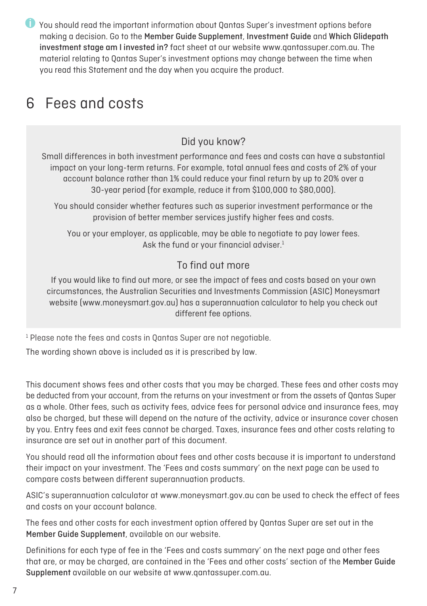You should read the important information about Qantas Super's investment options before making a decision. Go to the Member Guide Supplement, Investment Guide and Which Glidepath investment stage am I invested in? fact sheet at our website www.qantassuper.com.au. The material relating to Qantas Super's investment options may change between the time when you read this Statement and the day when you acquire the product.

### 6 Fees and costs

#### Did you know?

Small differences in both investment performance and fees and costs can have a substantial impact on your long-term returns. For example, total annual fees and costs of 2% of your account balance rather than 1% could reduce your final return by up to 20% over a 30-year period (for example, reduce it from \$100,000 to \$80,000).

You should consider whether features such as superior investment performance or the provision of better member services justify higher fees and costs.

You or your employer, as applicable, may be able to negotiate to pay lower fees. Ask the fund or your financial adviser.<sup>1</sup>

#### To find out more

If you would like to find out more, or see the impact of fees and costs based on your own circumstances, the Australian Securities and Investments Commission (ASIC) Moneysmart website (www.moneysmart.gov.au) has a superannuation calculator to help you check out different fee options.

<sup>1</sup> Please note the fees and costs in Qantas Super are not negotiable.

The wording shown above is included as it is prescribed by law.

This document shows fees and other costs that you may be charged. These fees and other costs may be deducted from your account, from the returns on your investment or from the assets of Qantas Super as a whole. Other fees, such as activity fees, advice fees for personal advice and insurance fees, may also be charged, but these will depend on the nature of the activity, advice or insurance cover chosen by you. Entry fees and exit fees cannot be charged. Taxes, insurance fees and other costs relating to insurance are set out in another part of this document.

You should read all the information about fees and other costs because it is important to understand their impact on your investment. The 'Fees and costs summary' on the next page can be used to compare costs between different superannuation products.

ASIC's superannuation calculator at www.moneysmart.gov.au can be used to check the effect of fees and costs on your account balance.

The fees and other costs for each investment option offered by Qantas Super are set out in the Member Guide Supplement, available on our website.

Definitions for each type of fee in the 'Fees and costs summary' on the next page and other fees that are, or may be charged, are contained in the 'Fees and other costs' section of the Member Guide Supplement available on our website at www.qantassuper.com.au.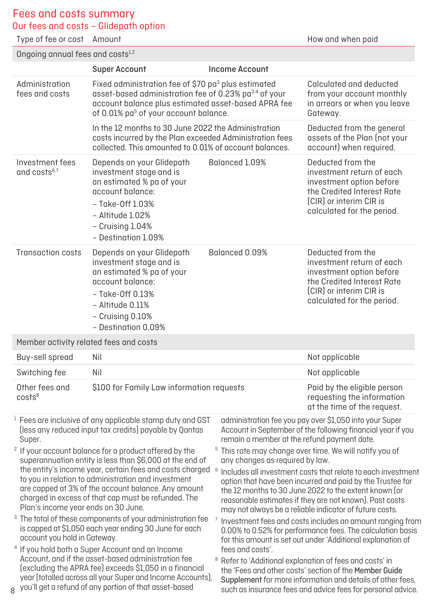#### Fees and costs summary

Our fees and costs – Glidepath option

Type of fee or cost Amount **How and when paid** 

Ongoing annual fees and costs<sup>1,2</sup>

|                                                                               | <b>Super Account</b>                                                                                                                                                                                                                                                                                                                                                                                                                                                                                                                                                                                                     | <b>Income Account</b>                                                          |                                                                                                                                                                                                                                                                                                                                                                                                                                                                                                                                                                                                                                                                                                     |  |  |  |
|-------------------------------------------------------------------------------|--------------------------------------------------------------------------------------------------------------------------------------------------------------------------------------------------------------------------------------------------------------------------------------------------------------------------------------------------------------------------------------------------------------------------------------------------------------------------------------------------------------------------------------------------------------------------------------------------------------------------|--------------------------------------------------------------------------------|-----------------------------------------------------------------------------------------------------------------------------------------------------------------------------------------------------------------------------------------------------------------------------------------------------------------------------------------------------------------------------------------------------------------------------------------------------------------------------------------------------------------------------------------------------------------------------------------------------------------------------------------------------------------------------------------------------|--|--|--|
| Administration<br>fees and costs                                              | Fixed administration fee of \$70 pa <sup>3</sup> plus estimated<br>asset-based administration fee of 0.23% pa <sup>3,4</sup> of your<br>account balance plus estimated asset-based APRA fee<br>of 0.01% pa <sup>5</sup> of your account balance.                                                                                                                                                                                                                                                                                                                                                                         |                                                                                | Calculated and deducted<br>from your account monthly<br>in arrears or when you leave<br>Gateway.                                                                                                                                                                                                                                                                                                                                                                                                                                                                                                                                                                                                    |  |  |  |
|                                                                               | In the 12 months to 30 June 2022 the Administration<br>costs incurred by the Plan exceeded Administration fees<br>collected. This amounted to 0.01% of account balances.                                                                                                                                                                                                                                                                                                                                                                                                                                                 |                                                                                | Deducted from the general<br>assets of the Plan (not your<br>account) when required.                                                                                                                                                                                                                                                                                                                                                                                                                                                                                                                                                                                                                |  |  |  |
| Investment fees<br>and costs <sup>6,7</sup>                                   | Depends on your Glidepath<br>investment stage and is<br>an estimated % pa of your<br>account balance:<br>- Take-Off 1.03%<br>– Altitude 1.02%<br>- Cruising 1.04%<br>- Destination 1.09%                                                                                                                                                                                                                                                                                                                                                                                                                                 | Balanced 1.09%                                                                 | Deducted from the<br>investment return of each<br>investment option before<br>the Credited Interest Rate<br>[CIR] or interim CIR is<br>calculated for the period.                                                                                                                                                                                                                                                                                                                                                                                                                                                                                                                                   |  |  |  |
| <b>Transaction costs</b>                                                      | Depends on your Glidepath<br>investment stage and is<br>an estimated % pa of your<br>account balance:<br>– Take-Off 0.13%<br>- Altitude 0.11%<br>- Cruising 0.10%<br>- Destination 0.09%                                                                                                                                                                                                                                                                                                                                                                                                                                 | Balanced 0.09%                                                                 | Deducted from the<br>investment return of each<br>investment option before<br>the Credited Interest Rate<br>(CIR) or interim CIR is<br>calculated for the period.                                                                                                                                                                                                                                                                                                                                                                                                                                                                                                                                   |  |  |  |
|                                                                               | Member activity related fees and costs                                                                                                                                                                                                                                                                                                                                                                                                                                                                                                                                                                                   |                                                                                |                                                                                                                                                                                                                                                                                                                                                                                                                                                                                                                                                                                                                                                                                                     |  |  |  |
| Buy-sell spread                                                               | Nil                                                                                                                                                                                                                                                                                                                                                                                                                                                                                                                                                                                                                      |                                                                                | Not applicable                                                                                                                                                                                                                                                                                                                                                                                                                                                                                                                                                                                                                                                                                      |  |  |  |
| Switching fee                                                                 | Nil                                                                                                                                                                                                                                                                                                                                                                                                                                                                                                                                                                                                                      |                                                                                | Not applicable                                                                                                                                                                                                                                                                                                                                                                                                                                                                                                                                                                                                                                                                                      |  |  |  |
| Other fees and<br>costs <sup>8</sup>                                          | \$100 for Family Law information requests                                                                                                                                                                                                                                                                                                                                                                                                                                                                                                                                                                                |                                                                                | Paid by the eligible person<br>requesting the information<br>at the time of the request.                                                                                                                                                                                                                                                                                                                                                                                                                                                                                                                                                                                                            |  |  |  |
| Super.<br>Plan's income year ends on 30 June.<br>account you hold in Gateway. | <sup>1</sup> Fees are inclusive of any applicable stamp duty and GST<br>(less any reduced input tax credits) payable by Qantas<br><sup>2</sup> If your account balance for a product offered by the<br>superannuation entity is less than \$6,000 at the end of<br>the entity's income year, certain fees and costs charged 6<br>to you in relation to administration and investment<br>are capped at 3% of the account balance. Any amount<br>charged in excess of that cap must be refunded. The<br>The total of these components of your administration fee<br>is capped at \$1,050 each year ending 30 June for each | remain a member at the refund payment date.<br>any changes as required by law. | administration fee you pay over \$1,050 into your Super<br>Account in September of the following financial year if you<br><sup>5</sup> This rate may change over time. We will notify you of<br>Includes all investment costs that relate to each investment<br>option that have been incurred and paid by the Trustee for<br>the 12 months to 30 June 2022 to the extent known (or<br>reasonable estimates if they are not known). Past costs<br>may not always be a reliable indicator of future costs.<br>Investment fees and costs includes an amount ranging from<br>0.00% to 0.52% for performance fees. The calculation basis<br>for this amount is set out under 'Additional explanation of |  |  |  |
|                                                                               | <sup>4</sup> If you hold both a Super Account and an Income<br>Account, and if the asset-based administration fee<br>(excluding the APRA fee) exceeds \$1,050 in a financial<br>year (totalled across all your Super and Income Accounts),<br>8 you'll get a refund of any portion of that asset-based                                                                                                                                                                                                                                                                                                                   | fees and costs'.<br>8                                                          | Refer to 'Additional explanation of fees and costs' in<br>the 'Fees and other costs' section of the Member Guide<br>Supplement for more information and details of other fees,<br>such as insurance fees and advice fees for personal advice.                                                                                                                                                                                                                                                                                                                                                                                                                                                       |  |  |  |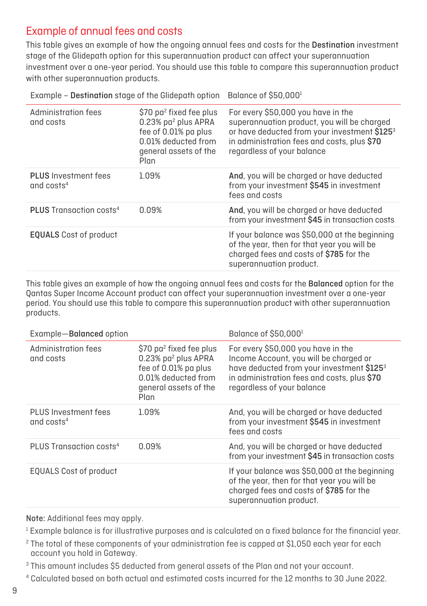#### Example of annual fees and costs

This table gives an example of how the ongoing annual fees and costs for the Destination investment stage of the Glidepath option for this superannuation product can affect your superannuation investment over a one-year period. You should use this table to compare this superannuation product with other superannuation products.

| Administration fees<br>and costs            | \$70 pa <sup>2</sup> fixed fee plus<br>0.23% pa <sup>2</sup> plus APRA<br>fee of 0.01% pa plus<br>0.01% deducted from<br>general assets of the<br>Plan | For every \$50,000 you have in the<br>superannuation product, you will be charged<br>or have deducted from your investment \$1253<br>in administration fees and costs, plus \$70<br>regardless of your balance |
|---------------------------------------------|--------------------------------------------------------------------------------------------------------------------------------------------------------|----------------------------------------------------------------------------------------------------------------------------------------------------------------------------------------------------------------|
| <b>PLUS</b> Investment fees<br>and $costs4$ | 1.09%                                                                                                                                                  | And, you will be charged or have deducted<br>from your investment \$545 in investment<br>fees and costs                                                                                                        |
| <b>PLUS</b> Transaction costs <sup>4</sup>  | 0.09%                                                                                                                                                  | And, you will be charged or have deducted<br>from your investment \$45 in transaction costs                                                                                                                    |
| <b>EQUALS</b> Cost of product               |                                                                                                                                                        | If your balance was \$50,000 at the beginning<br>of the year, then for that year you will be<br>charged fees and costs of \$785 for the<br>superannuation product.                                             |

Example - Destination stage of the Glidepath option Balance of  $$50,000<sup>1</sup>$ 

This table gives an example of how the ongoing annual fees and costs for the Balanced option for the Qantas Super Income Account product can affect your superannuation investment over a one-year period. You should use this table to compare this superannuation product with other superannuation products.

| Example-Balanced option              |                                                                                                                                                        | Balance of \$50,000 <sup>1</sup>                                                                                                                                                                       |  |  |  |
|--------------------------------------|--------------------------------------------------------------------------------------------------------------------------------------------------------|--------------------------------------------------------------------------------------------------------------------------------------------------------------------------------------------------------|--|--|--|
| Administration fees<br>and costs     | \$70 pa <sup>2</sup> fixed fee plus<br>0.23% pa <sup>2</sup> plus APRA<br>fee of 0.01% pa plus<br>0.01% deducted from<br>general assets of the<br>Plan | For every \$50,000 you have in the<br>Income Account, you will be charged or<br>have deducted from your investment \$1253<br>in administration fees and costs, plus \$70<br>regardless of your balance |  |  |  |
| PLUS Investment fees<br>and $costs4$ | 1.09%                                                                                                                                                  | And, you will be charged or have deducted<br>from your investment \$545 in investment<br>fees and costs                                                                                                |  |  |  |
| PLUS Transaction costs <sup>4</sup>  | 0.09%                                                                                                                                                  | And, you will be charged or have deducted<br>from your investment \$45 in transaction costs                                                                                                            |  |  |  |
| EQUALS Cost of product               |                                                                                                                                                        | If your balance was \$50,000 at the beginning<br>of the year, then for that year you will be<br>charged fees and costs of \$785 for the<br>superannuation product.                                     |  |  |  |

Note: Additional fees may apply.

 $1$  Example balance is for illustrative purposes and is calculated on a fixed balance for the financial year.

 $2$  The total of these components of your administration fee is capped at \$1,050 each year for each account you hold in Gateway.

<sup>3</sup> This amount includes \$5 deducted from general assets of the Plan and not your account.

<sup>4</sup> Calculated based on both actual and estimated costs incurred for the 12 months to 30 June 2022.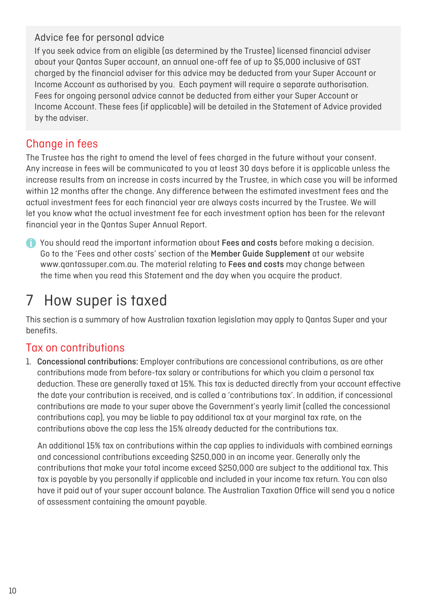#### Advice fee for personal advice

If you seek advice from an eligible (as determined by the Trustee) licensed financial adviser about your Qantas Super account, an annual one-off fee of up to \$5,000 inclusive of GST charged by the financial adviser for this advice may be deducted from your Super Account or Income Account as authorised by you. Each payment will require a separate authorisation. Fees for ongoing personal advice cannot be deducted from either your Super Account or Income Account. These fees (if applicable) will be detailed in the Statement of Advice provided by the adviser.

#### Change in fees

The Trustee has the right to amend the level of fees charged in the future without your consent. Any increase in fees will be communicated to you at least 30 days before it is applicable unless the increase results from an increase in costs incurred by the Trustee, in which case you will be informed within 12 months after the change. Any difference between the estimated investment fees and the actual investment fees for each financial year are always costs incurred by the Trustee. We will let you know what the actual investment fee for each investment option has been for the relevant financial year in the Qantas Super Annual Report.

You should read the important information about Fees and costs before making a decision. Go to the 'Fees and other costs' section of the Member Guide Supplement at our website www.qantassuper.com.au. The material relating to Fees and costs may change between the time when you read this Statement and the day when you acquire the product.

### 7 How super is taxed

This section is a summary of how Australian taxation legislation may apply to Qantas Super and your benefits.

#### Tax on contributions

1. Concessional contributions: Employer contributions are concessional contributions, as are other contributions made from before-tax salary or contributions for which you claim a personal tax deduction. These are generally taxed at 15%. This tax is deducted directly from your account effective the date your contribution is received, and is called a 'contributions tax'. In addition, if concessional contributions are made to your super above the Government's yearly limit (called the concessional contributions cap), you may be liable to pay additional tax at your marginal tax rate, on the contributions above the cap less the 15% already deducted for the contributions tax.

An additional 15% tax on contributions within the cap applies to individuals with combined earnings and concessional contributions exceeding \$250,000 in an income year. Generally only the contributions that make your total income exceed \$250,000 are subject to the additional tax. This tax is payable by you personally if applicable and included in your income tax return. You can also have it paid out of your super account balance. The Australian Taxation Office will send you a notice of assessment containing the amount payable.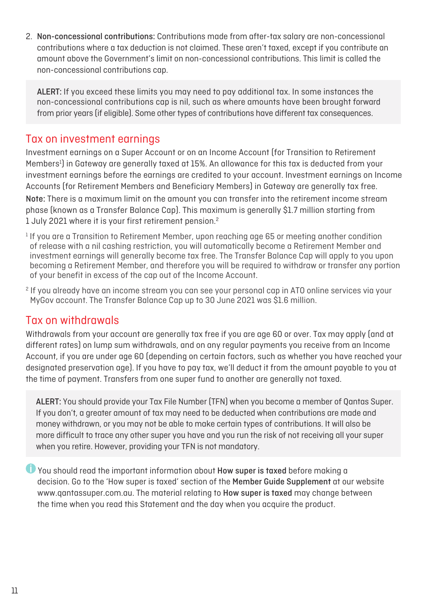2. Non-concessional contributions: Contributions made from after-tax salary are non-concessional contributions where a tax deduction is not claimed. These aren't taxed, except if you contribute an amount above the Government's limit on non-concessional contributions. This limit is called the non-concessional contributions cap.

ALERT: If you exceed these limits you may need to pay additional tax. In some instances the non-concessional contributions cap is nil, such as where amounts have been brought forward from prior years (if eligible). Some other types of contributions have different tax consequences.

#### Tax on investment earnings

Investment earnings on a Super Account or on an Income Account (for Transition to Retirement Members<sup>1</sup>) in Gateway are generally taxed at 15%. An allowance for this tax is deducted from your investment earnings before the earnings are credited to your account. Investment earnings on Income Accounts (for Retirement Members and Beneficiary Members) in Gateway are generally tax free. Note: There is a maximum limit on the amount you can transfer into the retirement income stream phase (known as a Transfer Balance Cap). This maximum is generally \$1.7 million starting from 1 July 2021 where it is your first retirement pension.2

- $1$  If you are a Transition to Retirement Member, upon reaching age 65 or meeting another condition of release with a nil cashing restriction, you will automatically become a Retirement Member and investment earnings will generally become tax free. The Transfer Balance Cap will apply to you upon becoming a Retirement Member, and therefore you will be required to withdraw or transfer any portion of your benefit in excess of the cap out of the Income Account.
- 2 If you already have an income stream you can see your personal cap in ATO online services via your MyGov account. The Transfer Balance Cap up to 30 June 2021 was \$1.6 million.

#### Tax on withdrawals

Withdrawals from your account are generally tax free if you are age 60 or over. Tax may apply (and at different rates) on lump sum withdrawals, and on any regular payments you receive from an Income Account, if you are under age 60 (depending on certain factors, such as whether you have reached your designated preservation age). If you have to pay tax, we'll deduct it from the amount payable to you at the time of payment. Transfers from one super fund to another are generally not taxed.

ALERT: You should provide your Tax File Number (TFN) when you become a member of Qantas Super. If you don't, a greater amount of tax may need to be deducted when contributions are made and money withdrawn, or you may not be able to make certain types of contributions. It will also be more difficult to trace any other super you have and you run the risk of not receiving all your super when you retire. However, providing your TFN is not mandatory.

 You should read the important information about How super is taxed before making a decision. Go to the 'How super is taxed' section of the Member Guide Supplement at our website www.qantassuper.com.au. The material relating to How super is taxed may change between the time when you read this Statement and the day when you acquire the product.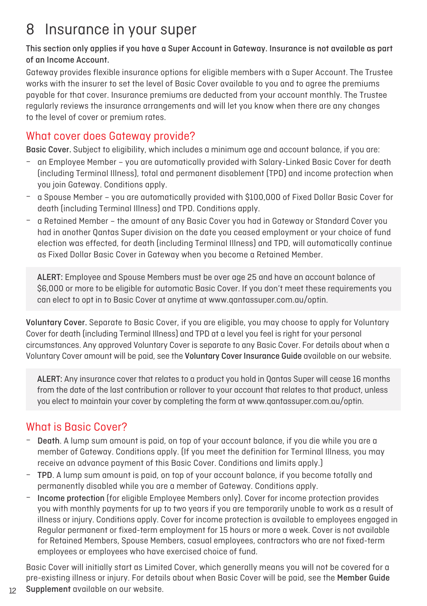### 8 Insurance in your super

#### This section only applies if you have a Super Account in Gateway. Insurance is not available as part of an Income Account.

Gateway provides flexible insurance options for eligible members with a Super Account. The Trustee works with the insurer to set the level of Basic Cover available to you and to agree the premiums payable for that cover. Insurance premiums are deducted from your account monthly. The Trustee regularly reviews the insurance arrangements and will let you know when there are any changes to the level of cover or premium rates.

#### What cover does Gateway provide?

Basic Cover. Subject to eligibility, which includes a minimum age and account balance, if you are:

- an Employee Member you are automatically provided with Salary-Linked Basic Cover for death (including Terminal Illness), total and permanent disablement (TPD) and income protection when you join Gateway. Conditions apply.
- a Spouse Member you are automatically provided with \$100,000 of Fixed Dollar Basic Cover for death (including Terminal Illness) and TPD. Conditions apply.
- a Retained Member the amount of any Basic Cover you had in Gateway or Standard Cover you had in another Qantas Super division on the date you ceased employment or your choice of fund election was effected, for death (including Terminal Illness) and TPD, will automatically continue as Fixed Dollar Basic Cover in Gateway when you become a Retained Member.

ALERT: Employee and Spouse Members must be over age 25 and have an account balance of \$6,000 or more to be eligible for automatic Basic Cover. If you don't meet these requirements you can elect to opt in to Basic Cover at anytime at www.[qantassuper.com.au/optin.](http://qantassuper.com.au/optin)

Voluntary Cover. Separate to Basic Cover, if you are eligible, you may choose to apply for Voluntary Cover for death (including Terminal Illness) and TPD at a level you feel is right for your personal circumstances. Any approved Voluntary Cover is separate to any Basic Cover. For details about when a Voluntary Cover amount will be paid, see the Voluntary Cover Insurance Guide available on our website.

ALERT: Any insurance cover that relates to a product you hold in Qantas Super will cease 16 months from the date of the last contribution or rollover to your account that relates to that product, unless you elect to maintain your cover by completing the form at [www.qantassuper.com.au/optin.](http://www.qantassuper.com.au/optin)

#### What is Basic Cover?

12

- Death. A lump sum amount is paid, on top of your account balance, if you die while you are a member of Gateway. Conditions apply. (If you meet the definition for Terminal Illness, you may receive an advance payment of this Basic Cover. Conditions and limits apply.)
- TPD. A lump sum amount is paid, on top of your account balance, if you become totally and permanently disabled while you are a member of Gateway. Conditions apply.
- Income protection (for eligible Employee Members only). Cover for income protection provides you with monthly payments for up to two years if you are temporarily unable to work as a result of illness or injury. Conditions apply. Cover for income protection is available to employees engaged in Regular permanent or fixed-term employment for 15 hours or more a week. Cover is not available for Retained Members, Spouse Members, casual employees, contractors who are not fixed-term employees or employees who have exercised choice of fund.

Basic Cover will initially start as Limited Cover, which generally means you will not be covered for a pre-existing illness or injury. For details about when Basic Cover will be paid, see the Member Guide Supplement available on our website.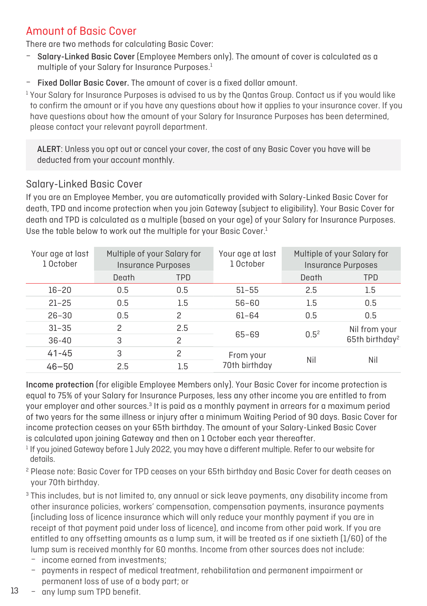#### Amount of Basic Cover

There are two methods for calculating Basic Cover:

- Salary-Linked Basic Cover (Employee Members only). The amount of cover is calculated as a multiple of your Salary for Insurance Purposes.<sup>1</sup>
- Fixed Dollar Basic Cover. The amount of cover is a fixed dollar amount.

 $1$  Your Salary for Insurance Purposes is advised to us by the Oantas Group. Contact us if you would like to confirm the amount or if you have any questions about how it applies to your insurance cover. If you have questions about how the amount of your Salary for Insurance Purposes has been determined, please contact your relevant payroll department.

ALERT: Unless you opt out or cancel your cover, the cost of any Basic Cover you have will be deducted from your account monthly.

#### Salary-Linked Basic Cover

If you are an Employee Member, you are automatically provided with Salary-Linked Basic Cover for death, TPD and income protection when you join Gateway (subject to eligibility). Your Basic Cover for death and TPD is calculated as a multiple (based on your age) of your Salary for Insurance Purposes. Use the table below to work out the multiple for your Basic Cover.<sup>1</sup>

| Your age at last<br>1 October | Multiple of your Salary for | <b>Insurance Purposes</b> | Your age at last<br>1 October | Multiple of your Salary for<br><b>Insurance Purposes</b> |                                             |  |
|-------------------------------|-----------------------------|---------------------------|-------------------------------|----------------------------------------------------------|---------------------------------------------|--|
|                               | Death                       | <b>TPD</b>                |                               | Death                                                    | <b>TPD</b>                                  |  |
| $16 - 20$                     | 0.5                         | 0.5                       | $51 - 55$                     | 2.5                                                      | 1.5                                         |  |
| $21 - 25$                     | 0.5                         | 1.5                       | $56 - 60$                     | 1.5                                                      | 0.5                                         |  |
| $26 - 30$                     | 0.5                         | $\overline{c}$            | $61 - 64$                     | 0.5                                                      | 0.5                                         |  |
| $31 - 35$                     | 2                           | 2.5                       |                               | $0.5^2$                                                  | Nil from your<br>65th birthday <sup>2</sup> |  |
| $36 - 40$                     | 3                           | $\overline{c}$            | 65-69                         |                                                          |                                             |  |
| $41 - 45$                     | 3                           | $\overline{c}$            | From your                     | Nil                                                      | Nil                                         |  |
| $46 - 50$                     | 2.5                         | 1.5                       | 70th birthday                 |                                                          |                                             |  |

Income protection (for eligible Employee Members only). Your Basic Cover for income protection is equal to 75% of your Salary for Insurance Purposes, less any other income you are entitled to from your employer and other sources.<sup>3</sup> It is paid as a monthly payment in arrears for a maximum period of two years for the same illness or injury after a minimum Waiting Period of 90 days. Basic Cover for income protection ceases on your 65th birthday. The amount of your Salary-Linked Basic Cover is calculated upon joining Gateway and then on 1 October each year thereafter.

<sup>1</sup> If you joined Gateway before 1 July 2022, you may have a different multiple. Refer to our website for details.

<sup>2</sup> Please note: Basic Cover for TPD ceases on your 65th birthday and Basic Cover for death ceases on your 70th birthday.

<sup>3</sup> This includes, but is not limited to, any annual or sick leave payments, any disability income from other insurance policies, workers' compensation, compensation payments, insurance payments (including loss of licence insurance which will only reduce your monthly payment if you are in receipt of that payment paid under loss of licence), and income from other paid work. If you are entitled to any offsetting amounts as a lump sum, it will be treated as if one sixtieth (1/60) of the lump sum is received monthly for 60 months. Income from other sources does not include:

- income earned from investments;
- payments in respect of medical treatment, rehabilitation and permanent impairment or permanent loss of use of a body part; or
- any lump sum TPD benefit.

13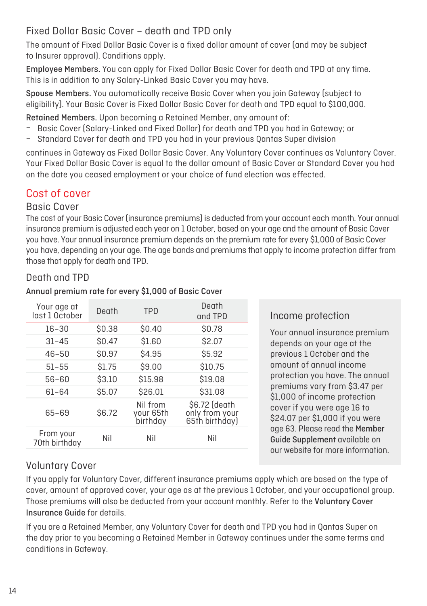#### Fixed Dollar Basic Cover – death and TPD only

The amount of Fixed Dollar Basic Cover is a fixed dollar amount of cover (and may be subject to Insurer approval). Conditions apply.

Employee Members. You can apply for Fixed Dollar Basic Cover for death and TPD at any time. This is in addition to any Salary-Linked Basic Cover you may have.

Spouse Members. You automatically receive Basic Cover when you join Gateway (subject to eligibility). Your Basic Cover is Fixed Dollar Basic Cover for death and TPD equal to \$100,000.

Retained Members. Upon becoming a Retained Member, any amount of:

- Basic Cover (Salary-Linked and Fixed Dollar) for death and TPD you had in Gateway; or
- Standard Cover for death and TPD you had in your previous Qantas Super division

continues in Gateway as Fixed Dollar Basic Cover. Any Voluntary Cover continues as Voluntary Cover. Your Fixed Dollar Basic Cover is equal to the dollar amount of Basic Cover or Standard Cover you had on the date you ceased employment or your choice of fund election was effected.

#### Cost of cover

#### Basic Cover

The cost of your Basic Cover (insurance premiums) is deducted from your account each month. Your annual insurance premium is adjusted each year on 1 October, based on your age and the amount of Basic Cover you have. Your annual insurance premium depends on the premium rate for every \$1,000 of Basic Cover you have, depending on your age. The age bands and premiums that apply to income protection differ from those that apply for death and TPD.

#### Death and TPD

#### Your age at vour age at death that the seath of the Death Death of Death Death Death Death Death Death Death Death Death D<br>Last 1 October Death TPD and TPI and TPD 16–30 \$0.38 \$0.40 \$0.78 31–45 \$0.47 \$1.60 \$2.07 46–50 \$0.97 \$4.95 \$5.92 51–55 \$1.75 \$9.00 \$10.75 56–60 \$3.10 \$15.98 \$19.08 61–64 \$5.07 \$26.01 \$31.08 65–69 \$6.72 Nil from your 65th birthday \$6.72 (death only from your 65th birthday) From your 70th birthday Nil Nil Nil

#### Annual premium rate for every \$1,000 of Basic Cover

#### Income protection

Your annual insurance premium depends on your age at the previous 1 October and the amount of annual income protection you have. The annual premiums vary from \$3.47 per \$1,000 of income protection cover if you were age 16 to \$24.07 per \$1,000 if you were age 63. Please read the Member Guide Supplement available on our website for more information.

#### Voluntary Cover

If you apply for Voluntary Cover, different insurance premiums apply which are based on the type of cover, amount of approved cover, your age as at the previous 1 October, and your occupational group. Those premiums will also be deducted from your account monthly. Refer to the Voluntary Cover Insurance Guide for details.

If you are a Retained Member, any Voluntary Cover for death and TPD you had in Qantas Super on the day prior to you becoming a Retained Member in Gateway continues under the same terms and conditions in Gateway.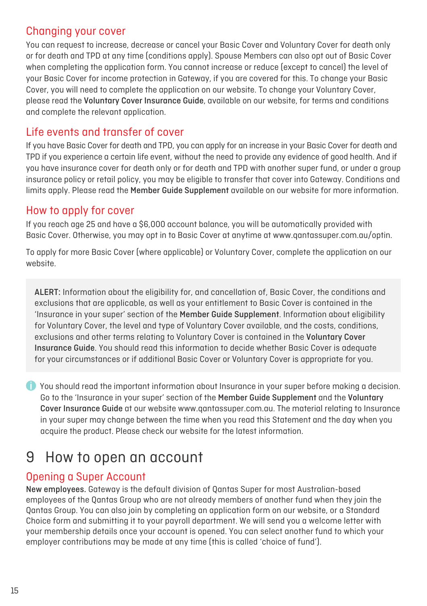#### Changing your cover

You can request to increase, decrease or cancel your Basic Cover and Voluntary Cover for death only or for death and TPD at any time (conditions apply). Spouse Members can also opt out of Basic Cover when completing the application form. You cannot increase or reduce (except to cancel) the level of your Basic Cover for income protection in Gateway, if you are covered for this. To change your Basic Cover, you will need to complete the application on our website. To change your Voluntary Cover, please read the Voluntary Cover Insurance Guide, available on our website, for terms and conditions and complete the relevant application.

#### Life events and transfer of cover

If you have Basic Cover for death and TPD, you can apply for an increase in your Basic Cover for death and TPD if you experience a certain life event, without the need to provide any evidence of good health. And if you have insurance cover for death only or for death and TPD with another super fund, or under a group insurance policy or retail policy, you may be eligible to transfer that cover into Gateway. Conditions and limits apply. Please read the Member Guide Supplement available on our website for more information.

#### How to apply for cover

If you reach age 25 and have a \$6,000 account balance, you will be automatically provided with Basic Cover. Otherwise, you may opt in to Basic Cover at anytime at www[.qantassuper.com.au/optin.](http://qantassuper.com.au/optin)

To apply for more Basic Cover (where applicable) or Voluntary Cover, complete the application on our website.

ALERT: Information about the eligibility for, and cancellation of, Basic Cover, the conditions and exclusions that are applicable, as well as your entitlement to Basic Cover is contained in the 'Insurance in your super' section of the Member Guide Supplement. Information about eligibility for Voluntary Cover, the level and type of Voluntary Cover available, and the costs, conditions, exclusions and other terms relating to Voluntary Cover is contained in the Voluntary Cover Insurance Guide. You should read this information to decide whether Basic Cover is adequate for your circumstances or if additional Basic Cover or Voluntary Cover is appropriate for you.

 You should read the important information about Insurance in your super before making a decision. Go to the 'Insurance in your super' section of the Member Guide Supplement and the Voluntary Cover Insurance Guide at our website [www.qantassuper.com.au.](http://www.qantassuper.com.au) The material relating to Insurance in your super may change between the time when you read this Statement and the day when you acquire the product. Please check our website for the latest information.

### 9 How to open an account

#### Opening a Super Account

New employees. Gateway is the default division of Qantas Super for most Australian-based employees of the Qantas Group who are not already members of another fund when they join the Qantas Group. You can also join by completing an application form on our website, or a Standard Choice form and submitting it to your payroll department. We will send you a welcome letter with your membership details once your account is opened. You can select another fund to which your employer contributions may be made at any time (this is called 'choice of fund').